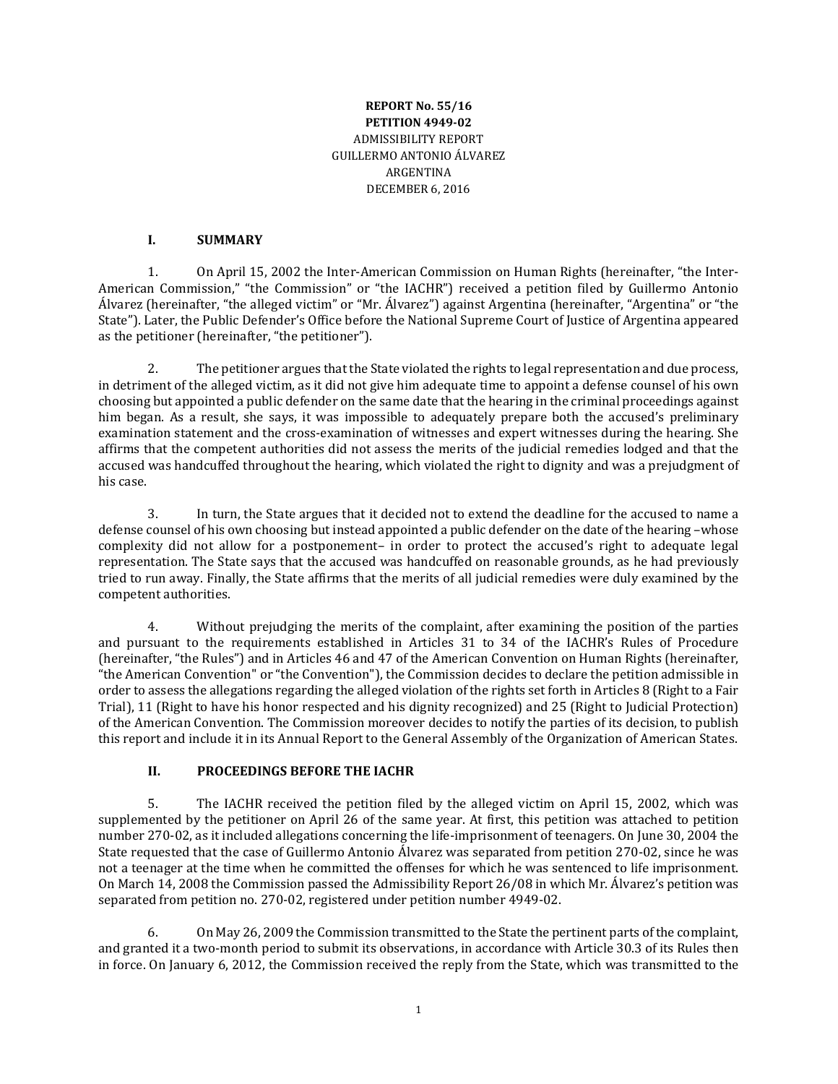#### **REPORT No. 55/16 PETITION 4949-02** ADMISSIBILITY REPORT GUILLERMO ANTONIO ÁLVAREZ ARGENTINA DECEMBER 6, 2016

#### **I. SUMMARY**

1. On April 15, 2002 the Inter-American Commission on Human Rights (hereinafter, "the Inter-American Commission," "the Commission" or "the IACHR") received a petition filed by Guillermo Antonio Álvarez (hereinafter, "the alleged victim" or "Mr. Álvarez") against Argentina (hereinafter, "Argentina" or "the State"). Later, the Public Defender's Office before the National Supreme Court of Justice of Argentina appeared as the petitioner (hereinafter, "the petitioner").

2. The petitioner argues that the State violated the rights to legal representation and due process, in detriment of the alleged victim, as it did not give him adequate time to appoint a defense counsel of his own choosing but appointed a public defender on the same date that the hearing in the criminal proceedings against him began. As a result, she says, it was impossible to adequately prepare both the accused's preliminary examination statement and the cross-examination of witnesses and expert witnesses during the hearing. She affirms that the competent authorities did not assess the merits of the judicial remedies lodged and that the accused was handcuffed throughout the hearing, which violated the right to dignity and was a prejudgment of his case.

3. In turn, the State argues that it decided not to extend the deadline for the accused to name a defense counsel of his own choosing but instead appointed a public defender on the date of the hearing –whose complexity did not allow for a postponement– in order to protect the accused's right to adequate legal representation. The State says that the accused was handcuffed on reasonable grounds, as he had previously tried to run away. Finally, the State affirms that the merits of all judicial remedies were duly examined by the competent authorities.

4. Without prejudging the merits of the complaint, after examining the position of the parties and pursuant to the requirements established in Articles 31 to 34 of the IACHR's Rules of Procedure (hereinafter, "the Rules") and in Articles 46 and 47 of the American Convention on Human Rights (hereinafter, "the American Convention" or "the Convention"), the Commission decides to declare the petition admissible in order to assess the allegations regarding the alleged violation of the rights set forth in Articles 8 (Right to a Fair Trial), 11 (Right to have his honor respected and his dignity recognized) and 25 (Right to Judicial Protection) of the American Convention. The Commission moreover decides to notify the parties of its decision, to publish this report and include it in its Annual Report to the General Assembly of the Organization of American States.

#### **II. PROCEEDINGS BEFORE THE IACHR**

5. The IACHR received the petition filed by the alleged victim on April 15, 2002, which was supplemented by the petitioner on April 26 of the same year. At first, this petition was attached to petition number 270-02, as it included allegations concerning the life-imprisonment of teenagers. On June 30, 2004 the State requested that the case of Guillermo Antonio Álvarez was separated from petition 270-02, since he was not a teenager at the time when he committed the offenses for which he was sentenced to life imprisonment. On March 14, 2008 the Commission passed the Admissibility Report 26/08 in which Mr. Álvarez's petition was separated from petition no. 270-02, registered under petition number 4949-02.

6. On May 26, 2009 the Commission transmitted to the State the pertinent parts of the complaint, and granted it a two-month period to submit its observations, in accordance with Article 30.3 of its Rules then in force. On January 6, 2012, the Commission received the reply from the State, which was transmitted to the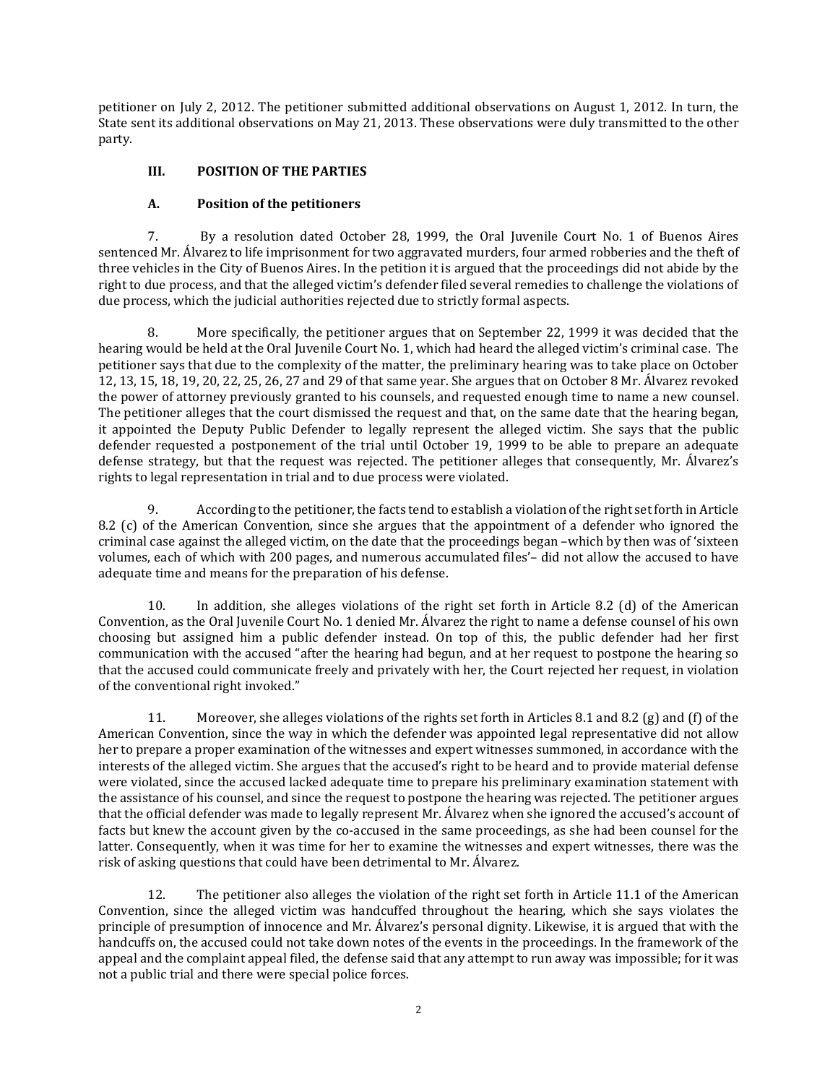petitioner on July 2, 2012. The petitioner submitted additional observations on August 1, 2012. In turn, the State sent its additional observations on May 21, 2013. These observations were duly transmitted to the other party.

### **III. POSITION OF THE PARTIES**

#### **A. Position of the petitioners**

7. By a resolution dated October 28, 1999, the Oral Juvenile Court No. 1 of Buenos Aires sentenced Mr. Álvarez to life imprisonment for two aggravated murders, four armed robberies and the theft of three vehicles in the City of Buenos Aires. In the petition it is argued that the proceedings did not abide by the right to due process, and that the alleged victim's defender filed several remedies to challenge the violations of due process, which the judicial authorities rejected due to strictly formal aspects.

8. More specifically, the petitioner argues that on September 22, 1999 it was decided that the hearing would be held at the Oral Juvenile Court No. 1, which had heard the alleged victim's criminal case. The petitioner says that due to the complexity of the matter, the preliminary hearing was to take place on October 12, 13, 15, 18, 19, 20, 22, 25, 26, 27 and 29 of that same year. She argues that on October 8 Mr. Álvarez revoked the power of attorney previously granted to his counsels, and requested enough time to name a new counsel. The petitioner alleges that the court dismissed the request and that, on the same date that the hearing began, it appointed the Deputy Public Defender to legally represent the alleged victim. She says that the public defender requested a postponement of the trial until October 19, 1999 to be able to prepare an adequate defense strategy, but that the request was rejected. The petitioner alleges that consequently, Mr. Álvarez's rights to legal representation in trial and to due process were violated.

According to the petitioner, the facts tend to establish a violation of the right set forth in Article 8.2 (c) of the American Convention, since she argues that the appointment of a defender who ignored the criminal case against the alleged victim, on the date that the proceedings began –which by then was of 'sixteen volumes, each of which with 200 pages, and numerous accumulated files'– did not allow the accused to have adequate time and means for the preparation of his defense.

10. In addition, she alleges violations of the right set forth in Article 8.2 (d) of the American Convention, as the Oral Juvenile Court No. 1 denied Mr. Álvarez the right to name a defense counsel of his own choosing but assigned him a public defender instead. On top of this, the public defender had her first communication with the accused "after the hearing had begun, and at her request to postpone the hearing so that the accused could communicate freely and privately with her, the Court rejected her request, in violation of the conventional right invoked."

11. Moreover, she alleges violations of the rights set forth in Articles 8.1 and 8.2 (g) and (f) of the American Convention, since the way in which the defender was appointed legal representative did not allow her to prepare a proper examination of the witnesses and expert witnesses summoned, in accordance with the interests of the alleged victim. She argues that the accused's right to be heard and to provide material defense were violated, since the accused lacked adequate time to prepare his preliminary examination statement with the assistance of his counsel, and since the request to postpone the hearing was rejected. The petitioner argues that the official defender was made to legally represent Mr. Álvarez when she ignored the accused's account of facts but knew the account given by the co-accused in the same proceedings, as she had been counsel for the latter. Consequently, when it was time for her to examine the witnesses and expert witnesses, there was the risk of asking questions that could have been detrimental to Mr. Álvarez.

12. The petitioner also alleges the violation of the right set forth in Article 11.1 of the American Convention, since the alleged victim was handcuffed throughout the hearing, which she says violates the principle of presumption of innocence and Mr. Álvarez's personal dignity. Likewise, it is argued that with the handcuffs on, the accused could not take down notes of the events in the proceedings. In the framework of the appeal and the complaint appeal filed, the defense said that any attempt to run away was impossible; for it was not a public trial and there were special police forces.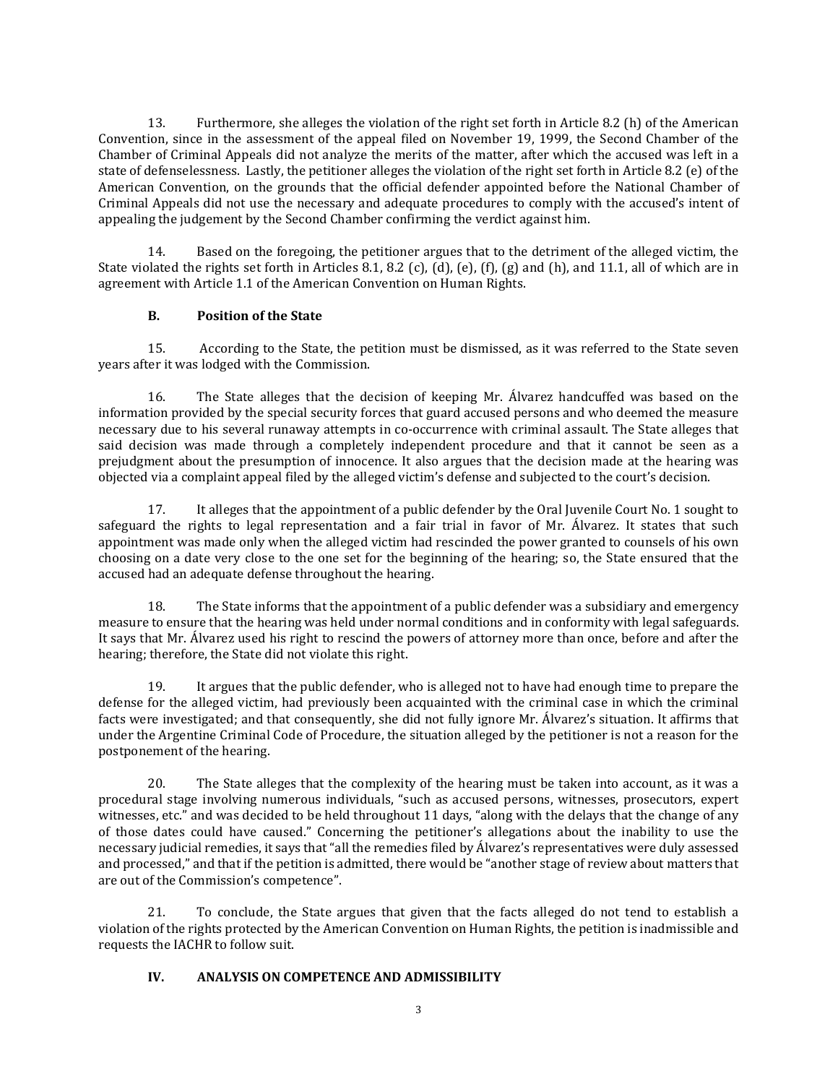13. Furthermore, she alleges the violation of the right set forth in Article 8.2 (h) of the American Convention, since in the assessment of the appeal filed on November 19, 1999, the Second Chamber of the Chamber of Criminal Appeals did not analyze the merits of the matter, after which the accused was left in a state of defenselessness. Lastly, the petitioner alleges the violation of the right set forth in Article 8.2 (e) of the American Convention, on the grounds that the official defender appointed before the National Chamber of Criminal Appeals did not use the necessary and adequate procedures to comply with the accused's intent of appealing the judgement by the Second Chamber confirming the verdict against him.

14. Based on the foregoing, the petitioner argues that to the detriment of the alleged victim, the State violated the rights set forth in Articles 8.1, 8.2 (c), (d), (e), (f), (g) and (h), and 11.1, all of which are in agreement with Article 1.1 of the American Convention on Human Rights.

#### **B. Position of the State**

15. According to the State, the petition must be dismissed, as it was referred to the State seven years after it was lodged with the Commission.

16. The State alleges that the decision of keeping Mr. Álvarez handcuffed was based on the information provided by the special security forces that guard accused persons and who deemed the measure necessary due to his several runaway attempts in co-occurrence with criminal assault. The State alleges that said decision was made through a completely independent procedure and that it cannot be seen as a prejudgment about the presumption of innocence. It also argues that the decision made at the hearing was objected via a complaint appeal filed by the alleged victim's defense and subjected to the court's decision.

17. It alleges that the appointment of a public defender by the Oral Juvenile Court No. 1 sought to safeguard the rights to legal representation and a fair trial in favor of Mr. Álvarez. It states that such appointment was made only when the alleged victim had rescinded the power granted to counsels of his own choosing on a date very close to the one set for the beginning of the hearing; so, the State ensured that the accused had an adequate defense throughout the hearing.

18. The State informs that the appointment of a public defender was a subsidiary and emergency measure to ensure that the hearing was held under normal conditions and in conformity with legal safeguards. It says that Mr. Álvarez used his right to rescind the powers of attorney more than once, before and after the hearing; therefore, the State did not violate this right.

19. It argues that the public defender, who is alleged not to have had enough time to prepare the defense for the alleged victim, had previously been acquainted with the criminal case in which the criminal facts were investigated; and that consequently, she did not fully ignore Mr. Álvarez's situation. It affirms that under the Argentine Criminal Code of Procedure, the situation alleged by the petitioner is not a reason for the postponement of the hearing.

20. The State alleges that the complexity of the hearing must be taken into account, as it was a procedural stage involving numerous individuals, "such as accused persons, witnesses, prosecutors, expert witnesses, etc." and was decided to be held throughout 11 days, "along with the delays that the change of any of those dates could have caused." Concerning the petitioner's allegations about the inability to use the necessary judicial remedies, it says that "all the remedies filed by Álvarez's representatives were duly assessed and processed," and that if the petition is admitted, there would be "another stage of review about matters that are out of the Commission's competence".

21. To conclude, the State argues that given that the facts alleged do not tend to establish a violation of the rights protected by the American Convention on Human Rights, the petition is inadmissible and requests the IACHR to follow suit.

#### **IV. ANALYSIS ON COMPETENCE AND ADMISSIBILITY**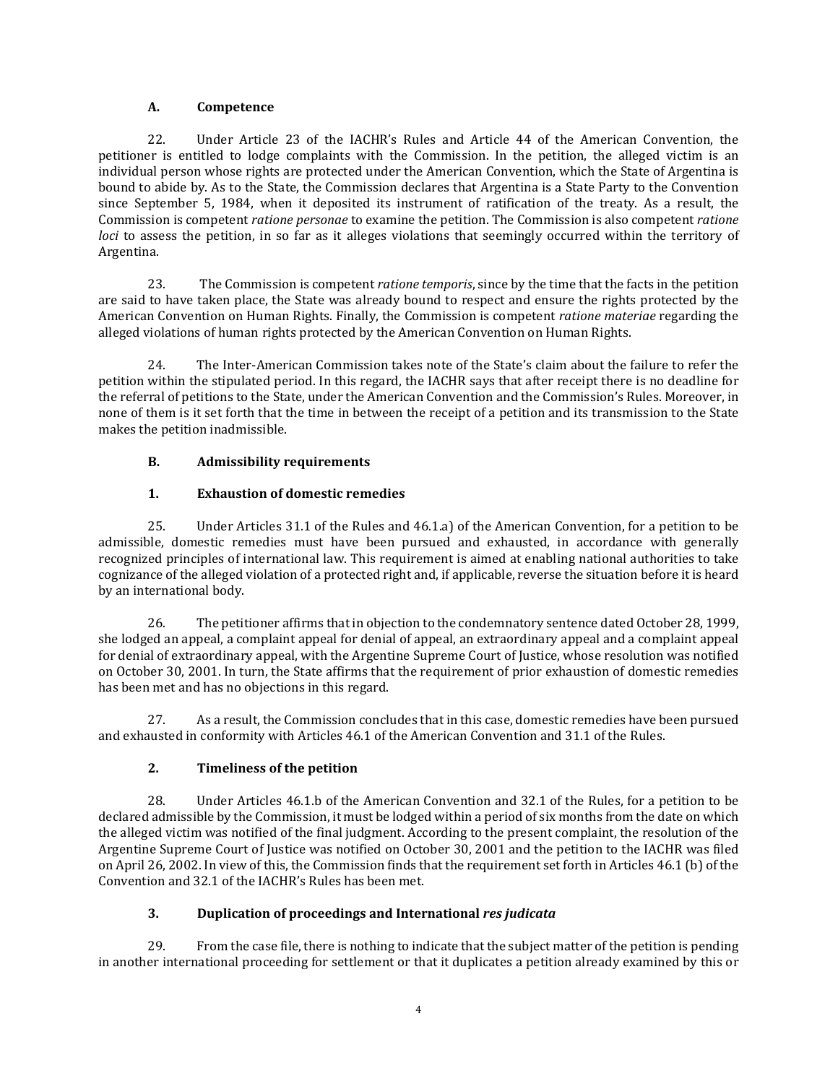# **A. Competence**

22. Under Article 23 of the IACHR's Rules and Article 44 of the American Convention, the petitioner is entitled to lodge complaints with the Commission. In the petition, the alleged victim is an individual person whose rights are protected under the American Convention, which the State of Argentina is bound to abide by. As to the State, the Commission declares that Argentina is a State Party to the Convention since September 5, 1984, when it deposited its instrument of ratification of the treaty. As a result, the Commission is competent *ratione personae* to examine the petition. The Commission is also competent *ratione loci* to assess the petition, in so far as it alleges violations that seemingly occurred within the territory of Argentina.

23. The Commission is competent *ratione temporis*, since by the time that the facts in the petition are said to have taken place, the State was already bound to respect and ensure the rights protected by the American Convention on Human Rights. Finally, the Commission is competent *ratione materiae* regarding the alleged violations of human rights protected by the American Convention on Human Rights.

24. The Inter-American Commission takes note of the State's claim about the failure to refer the petition within the stipulated period. In this regard, the IACHR says that after receipt there is no deadline for the referral of petitions to the State, under the American Convention and the Commission's Rules. Moreover, in none of them is it set forth that the time in between the receipt of a petition and its transmission to the State makes the petition inadmissible.

# **B. Admissibility requirements**

# **1. Exhaustion of domestic remedies**

25. Under Articles 31.1 of the Rules and 46.1.a) of the American Convention, for a petition to be admissible, domestic remedies must have been pursued and exhausted, in accordance with generally recognized principles of international law. This requirement is aimed at enabling national authorities to take cognizance of the alleged violation of a protected right and, if applicable, reverse the situation before it is heard by an international body.

26. The petitioner affirms thatin objection to the condemnatory sentence dated October 28, 1999, she lodged an appeal, a complaint appeal for denial of appeal, an extraordinary appeal and a complaint appeal for denial of extraordinary appeal, with the Argentine Supreme Court of Justice, whose resolution was notified on October 30, 2001. In turn, the State affirms that the requirement of prior exhaustion of domestic remedies has been met and has no objections in this regard.

27. As a result, the Commission concludes that in this case, domestic remedies have been pursued and exhausted in conformity with Articles 46.1 of the American Convention and 31.1 of the Rules.

# **2. Timeliness of the petition**

28. Under Articles 46.1.b of the American Convention and 32.1 of the Rules, for a petition to be declared admissible by the Commission, it must be lodged within a period of six months from the date on which the alleged victim was notified of the final judgment. According to the present complaint, the resolution of the Argentine Supreme Court of Justice was notified on October 30, 2001 and the petition to the IACHR was filed on April 26, 2002. In view of this, the Commission finds that the requirement set forth in Articles 46.1 (b) of the Convention and 32.1 of the IACHR's Rules has been met.

# **3. Duplication of proceedings and International** *res judicata*

29. From the case file, there is nothing to indicate that the subject matter of the petition is pending in another international proceeding for settlement or that it duplicates a petition already examined by this or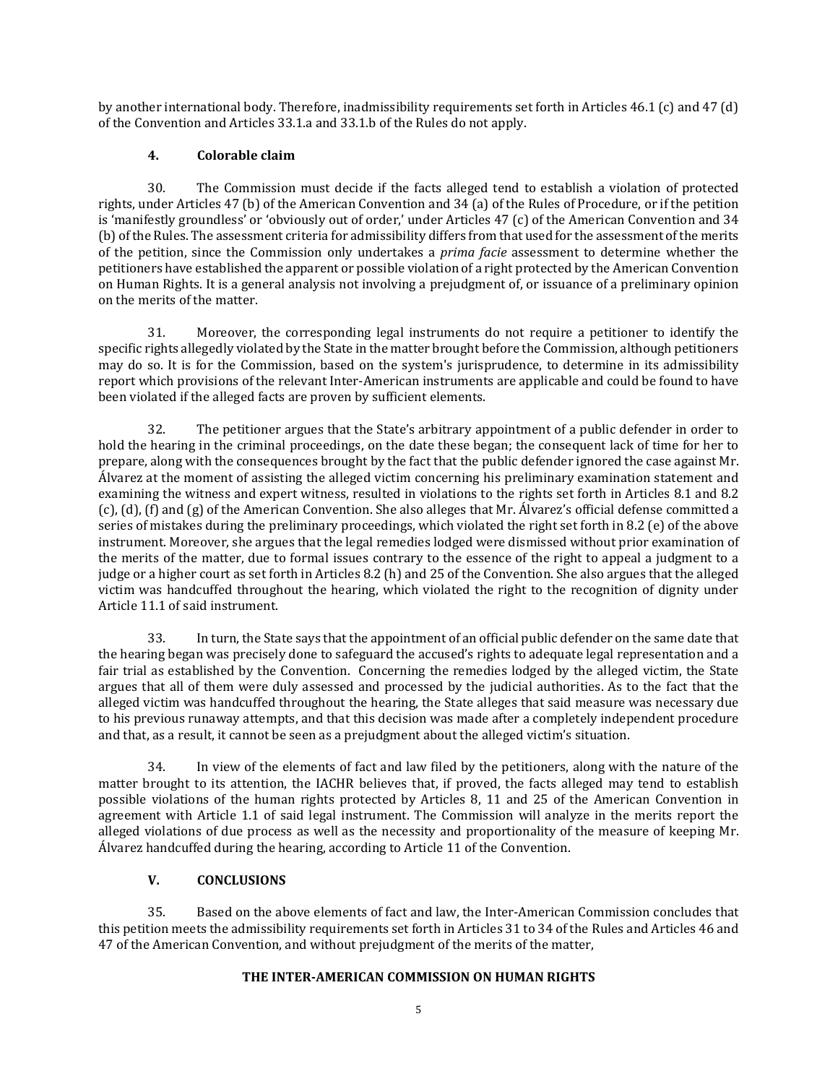by another international body. Therefore, inadmissibility requirements set forth in Articles 46.1 (c) and 47 (d) of the Convention and Articles 33.1.a and 33.1.b of the Rules do not apply.

### **4. Colorable claim**

30. The Commission must decide if the facts alleged tend to establish a violation of protected rights, under Articles 47 (b) of the American Convention and 34 (a) of the Rules of Procedure, or if the petition is 'manifestly groundless' or 'obviously out of order,' under Articles 47 (c) of the American Convention and 34 (b) of the Rules. The assessment criteria for admissibility differs from that used for the assessment ofthe merits of the petition, since the Commission only undertakes a *prima facie* assessment to determine whether the petitioners have established the apparent or possible violation of a right protected by the American Convention on Human Rights. It is a general analysis not involving a prejudgment of, or issuance of a preliminary opinion on the merits of the matter.

31. Moreover, the corresponding legal instruments do not require a petitioner to identify the specific rights allegedly violated by the State in the matter brought before the Commission, although petitioners may do so. It is for the Commission, based on the system's jurisprudence, to determine in its admissibility report which provisions of the relevant Inter-American instruments are applicable and could be found to have been violated if the alleged facts are proven by sufficient elements.

The petitioner argues that the State's arbitrary appointment of a public defender in order to hold the hearing in the criminal proceedings, on the date these began; the consequent lack of time for her to prepare, along with the consequences brought by the fact that the public defender ignored the case against Mr. Álvarez at the moment of assisting the alleged victim concerning his preliminary examination statement and examining the witness and expert witness, resulted in violations to the rights set forth in Articles 8.1 and 8.2 (c), (d), (f) and (g) of the American Convention. She also alleges that Mr. Álvarez's official defense committed a series of mistakes during the preliminary proceedings, which violated the right set forth in 8.2 (e) of the above instrument. Moreover, she argues that the legal remedies lodged were dismissed without prior examination of the merits of the matter, due to formal issues contrary to the essence of the right to appeal a judgment to a judge or a higher court as set forth in Articles 8.2 (h) and 25 of the Convention. She also argues that the alleged victim was handcuffed throughout the hearing, which violated the right to the recognition of dignity under Article 11.1 of said instrument.

33. In turn, the State says that the appointment of an official public defender on the same date that the hearing began was precisely done to safeguard the accused's rights to adequate legal representation and a fair trial as established by the Convention. Concerning the remedies lodged by the alleged victim, the State argues that all of them were duly assessed and processed by the judicial authorities. As to the fact that the alleged victim was handcuffed throughout the hearing, the State alleges that said measure was necessary due to his previous runaway attempts, and that this decision was made after a completely independent procedure and that, as a result, it cannot be seen as a prejudgment about the alleged victim's situation.

34. In view of the elements of fact and law filed by the petitioners, along with the nature of the matter brought to its attention, the IACHR believes that, if proved, the facts alleged may tend to establish possible violations of the human rights protected by Articles 8, 11 and 25 of the American Convention in agreement with Article 1.1 of said legal instrument. The Commission will analyze in the merits report the alleged violations of due process as well as the necessity and proportionality of the measure of keeping Mr. Álvarez handcuffed during the hearing, according to Article 11 of the Convention.

# **V. CONCLUSIONS**

35. Based on the above elements of fact and law, the Inter-American Commission concludes that this petition meets the admissibility requirements set forth in Articles 31 to 34 of the Rules and Articles 46 and 47 of the American Convention, and without prejudgment of the merits of the matter,

#### **THE INTER-AMERICAN COMMISSION ON HUMAN RIGHTS**